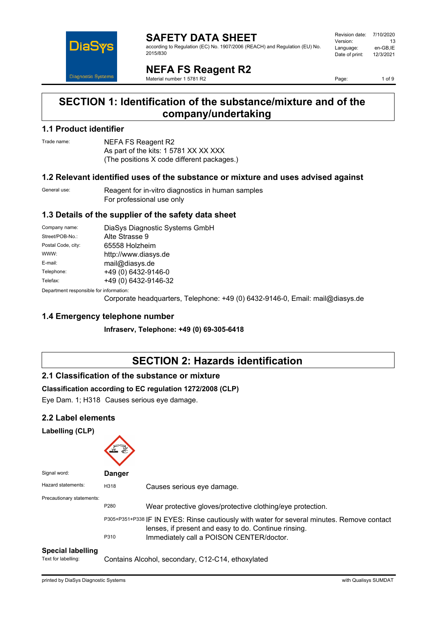

#### **SAFETY DATA SHEET** according to Regulation (EC) No. 1907/2006 (REACH) and Regulation (EU) No. 2015/830

| Revision date: | 7/10/2020 |
|----------------|-----------|
| Version:       | 13        |
| Language:      | en-GB,IE  |
| Date of print: | 12/3/2021 |
|                |           |

**NEFA FS Reagent R2** Material number 1 5781 R2

Page: 1 of 9

### **SECTION 1: Identification of the substance/mixture and of the company/undertaking**

#### **1.1 Product identifier**

Trade name: NEFA FS Reagent R2 As part of the kits: 1 5781 XX XX XXX (The positions X code different packages.)

#### **1.2 Relevant identified uses of the substance or mixture and uses advised against**

General use: Reagent for in-vitro diagnostics in human samples For professional use only

#### **1.3 Details of the supplier of the safety data sheet**

| Company name:                           | DiaSys Diagnostic Systems GmbH |  |
|-----------------------------------------|--------------------------------|--|
| Street/POB-No.:                         | Alte Strasse 9                 |  |
| Postal Code, city:                      | 65558 Holzheim                 |  |
| WWW:                                    | http://www.diasys.de           |  |
| E-mail:                                 | mail@diasys.de                 |  |
| Telephone:                              | +49 (0) 6432-9146-0            |  |
| Telefax:                                | +49 (0) 6432-9146-32           |  |
| Department responsible for information: |                                |  |

Department responsible for information:

Corporate headquarters, Telephone: +49 (0) 6432-9146-0, Email: mail@diasys.de

#### **1.4 Emergency telephone number**

**Infraserv, Telephone: +49 (0) 69-305-6418**

### **SECTION 2: Hazards identification**

#### **2.1 Classification of the substance or mixture**

#### **Classification according to EC regulation 1272/2008 (CLP)**

Eye Dam. 1; H318 Causes serious eye damage.

#### **2.2 Label elements**

#### **Labelling (CLP)**

| Signal word:              | <b>Danger</b> |                                                                                                                                                    |
|---------------------------|---------------|----------------------------------------------------------------------------------------------------------------------------------------------------|
| Hazard statements:        | H318          | Causes serious eye damage.                                                                                                                         |
| Precautionary statements: | P280          | Wear protective gloves/protective clothing/eye protection.                                                                                         |
|                           |               | P305+P351+P338 IF IN EYES: Rinse cautiously with water for several minutes. Remove contact<br>lenses, if present and easy to do. Continue rinsing. |
|                           | P310          | Immediately call a POISON CENTER/doctor.                                                                                                           |

#### **Special labelling**

Text for labelling: Contains Alcohol, secondary, C12-C14, ethoxylated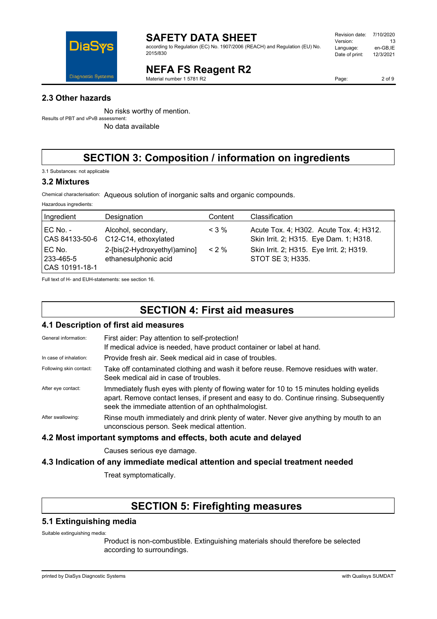

according to Regulation (EC) No. 1907/2006 (REACH) and Regulation (EU) No. 2015/830

#### Revision date: 7/10/2020 Version: 13<br>Language: en-GB.IE Language: en-GB,IE<br>Date of print: 12/3/2021 Date of print:

**NEFA FS Reagent R2**

Material number 1 5781 R2

Page: 2 of 9

#### **2.3 Other hazards**

No risks worthy of mention. Results of PBT and vPvB assessment:

No data available

### **SECTION 3: Composition / information on ingredients**

3.1 Substances: not applicable

#### **3.2 Mixtures**

Hazardous ingredients:

Chemical characterisation: Aqueous solution of inorganic salts and organic compounds.

| Ingredient                              | Designation                                          | Content | <b>Classification</b>                                                             |
|-----------------------------------------|------------------------------------------------------|---------|-----------------------------------------------------------------------------------|
| $EC$ No. -<br>CAS 84133-50-6            | Alcohol, secondary,<br>C12-C14, ethoxylated          | $<$ 3 % | Acute Tox. 4; H302. Acute Tox. 4; H312.<br>Skin Irrit. 2; H315. Eye Dam. 1; H318. |
| EC No.<br>l 233-465-5<br>CAS 10191-18-1 | 2-[bis(2-Hydroxyethyl)amino]<br>ethanesulphonic acid | $< 2\%$ | Skin Irrit. 2; H315. Eye Irrit. 2; H319.<br>STOT SE 3; H335.                      |

Full text of H- and EUH-statements: see section 16.

### **SECTION 4: First aid measures**

#### **4.1 Description of first aid measures**

| <b>The Description of instancial incasures</b> |                                                                                                                                                                                                                                            |  |
|------------------------------------------------|--------------------------------------------------------------------------------------------------------------------------------------------------------------------------------------------------------------------------------------------|--|
| General information:                           | First aider: Pay attention to self-protection!<br>If medical advice is needed, have product container or label at hand.                                                                                                                    |  |
| In case of inhalation:                         | Provide fresh air. Seek medical aid in case of troubles.                                                                                                                                                                                   |  |
| Following skin contact:                        | Take off contaminated clothing and wash it before reuse. Remove residues with water.<br>Seek medical aid in case of troubles.                                                                                                              |  |
| After eye contact:                             | Immediately flush eyes with plenty of flowing water for 10 to 15 minutes holding eyelids<br>apart. Remove contact lenses, if present and easy to do. Continue rinsing. Subsequently<br>seek the immediate attention of an ophthalmologist. |  |
| After swallowing:                              | Rinse mouth immediately and drink plenty of water. Never give anything by mouth to an<br>unconscious person. Seek medical attention.                                                                                                       |  |
|                                                |                                                                                                                                                                                                                                            |  |

#### **4.2 Most important symptoms and effects, both acute and delayed**

Causes serious eye damage.

#### **4.3 Indication of any immediate medical attention and special treatment needed**

Treat symptomatically.

### **SECTION 5: Firefighting measures**

#### **5.1 Extinguishing media**

Suitable extinguishing media:

Product is non-combustible. Extinguishing materials should therefore be selected according to surroundings.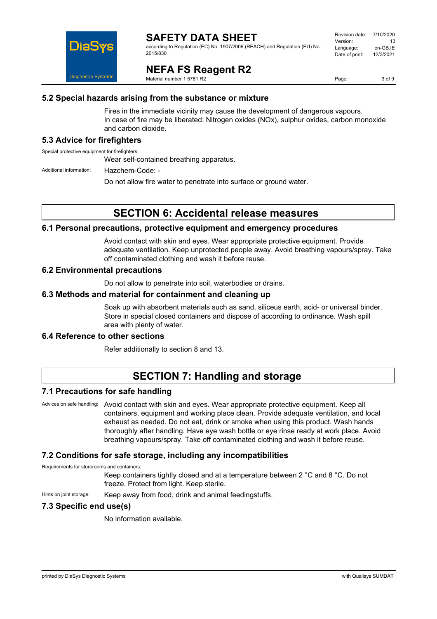

according to Regulation (EC) No. 1907/2006 (REACH) and Regulation (EU) No. 2015/830

| Revision date: | 7/10/2020 |
|----------------|-----------|
| Version:       | 13        |
| Language:      | en-GB,IE  |
| Date of print: | 12/3/2021 |
|                |           |

**NEFA FS Reagent R2**

Material number 1 5781 R2

Page: 3 of 9

#### **5.2 Special hazards arising from the substance or mixture**

Fires in the immediate vicinity may cause the development of dangerous vapours. In case of fire may be liberated: Nitrogen oxides (NOx), sulphur oxides, carbon monoxide and carbon dioxide.

#### **5.3 Advice for firefighters**

Special protective equipment for firefighters:

Wear self-contained breathing apparatus.

Additional information: Hazchem-Code: -

Do not allow fire water to penetrate into surface or ground water.

### **SECTION 6: Accidental release measures**

#### **6.1 Personal precautions, protective equipment and emergency procedures**

Avoid contact with skin and eyes. Wear appropriate protective equipment. Provide adequate ventilation. Keep unprotected people away. Avoid breathing vapours/spray. Take off contaminated clothing and wash it before reuse.

#### **6.2 Environmental precautions**

Do not allow to penetrate into soil, waterbodies or drains.

#### **6.3 Methods and material for containment and cleaning up**

Soak up with absorbent materials such as sand, siliceus earth, acid- or universal binder. Store in special closed containers and dispose of according to ordinance. Wash spill area with plenty of water.

#### **6.4 Reference to other sections**

Refer additionally to section 8 and 13.

### **SECTION 7: Handling and storage**

#### **7.1 Precautions for safe handling**

Advices on safe handling: Avoid contact with skin and eyes. Wear appropriate protective equipment. Keep all containers, equipment and working place clean. Provide adequate ventilation, and local exhaust as needed. Do not eat, drink or smoke when using this product. Wash hands thoroughly after handling. Have eye wash bottle or eye rinse ready at work place. Avoid breathing vapours/spray. Take off contaminated clothing and wash it before reuse.

#### **7.2 Conditions for safe storage, including any incompatibilities**

Requirements for storerooms and containers:

Keep containers tightly closed and at a temperature between 2 °C and 8 °C. Do not freeze. Protect from light. Keep sterile.

Hints on joint storage: Keep away from food, drink and animal feedingstuffs.

#### **7.3 Specific end use(s)**

No information available.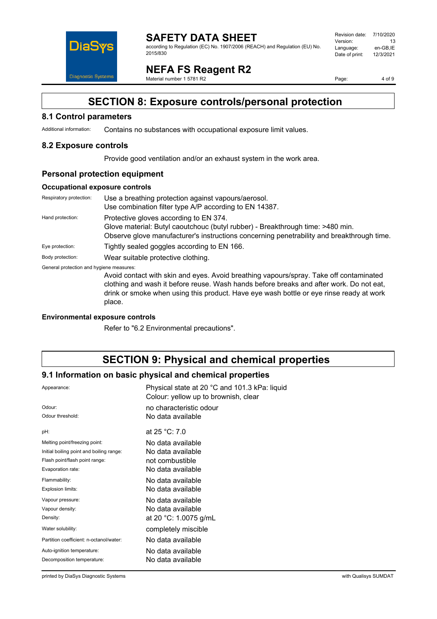

#### **SAFETY DATA SHEET** according to Regulation (EC) No. 1907/2006 (REACH) and Regulation (EU) No. 2015/830

Revision date: 7/10/2020 Version: 13<br>Language: en-GB,IE Language: en-GB,IE<br>Date of print: 12/3/2021 Date of print:

**NEFA FS Reagent R2** Material number 1 5781 R2

Page: 4 of 9

### **SECTION 8: Exposure controls/personal protection**

#### **8.1 Control parameters**

Additional information: Contains no substances with occupational exposure limit values.

#### **8.2 Exposure controls**

Provide good ventilation and/or an exhaust system in the work area.

#### **Personal protection equipment**

#### **Occupational exposure controls**

| Respiratory protection:                  | Use a breathing protection against vapours/aerosol.<br>Use combination filter type A/P according to EN 14387.                                                                                                                                                                          |
|------------------------------------------|----------------------------------------------------------------------------------------------------------------------------------------------------------------------------------------------------------------------------------------------------------------------------------------|
| Hand protection:                         | Protective gloves according to EN 374.<br>Glove material: Butyl caoutchouc (butyl rubber) - Breakthrough time: >480 min.<br>Observe glove manufacturer's instructions concerning penetrability and breakthrough time.                                                                  |
| Eye protection:                          | Tightly sealed goggles according to EN 166.                                                                                                                                                                                                                                            |
| Body protection:                         | Wear suitable protective clothing.                                                                                                                                                                                                                                                     |
| General protection and hygiene measures: | Avoid contact with skin and eyes. Avoid breathing vapours/spray. Take off contaminated<br>clothing and wash it before reuse. Wash hands before breaks and after work. Do not eat,<br>drink or smoke when using this product. Have eye wash bottle or eye rinse ready at work<br>place. |

#### **Environmental exposure controls**

Refer to "6.2 Environmental precautions".

### **SECTION 9: Physical and chemical properties**

#### **9.1 Information on basic physical and chemical properties**

| Appearance:                              | Physical state at 20 °C and 101.3 kPa: liquid<br>Colour: yellow up to brownish, clear |
|------------------------------------------|---------------------------------------------------------------------------------------|
| Odour:                                   | no characteristic odour                                                               |
| Odour threshold:                         | No data available                                                                     |
| pH:                                      | at $25 °C$ : 7.0                                                                      |
| Melting point/freezing point:            | No data available                                                                     |
| Initial boiling point and boiling range: | No data available                                                                     |
| Flash point/flash point range:           | not combustible                                                                       |
| Evaporation rate:                        | No data available                                                                     |
| Flammability:                            | No data available                                                                     |
| Explosion limits:                        | No data available                                                                     |
| Vapour pressure:                         | No data available                                                                     |
| Vapour density:                          | No data available                                                                     |
| Density:                                 | at 20 °C: 1.0075 g/mL                                                                 |
| Water solubility:                        | completely miscible                                                                   |
| Partition coefficient: n-octanol/water:  | No data available                                                                     |
| Auto-ignition temperature:               | No data available                                                                     |
| Decomposition temperature:               | No data available                                                                     |

printed by DiaSys Diagnostic Systems with Qualisys SUMDAT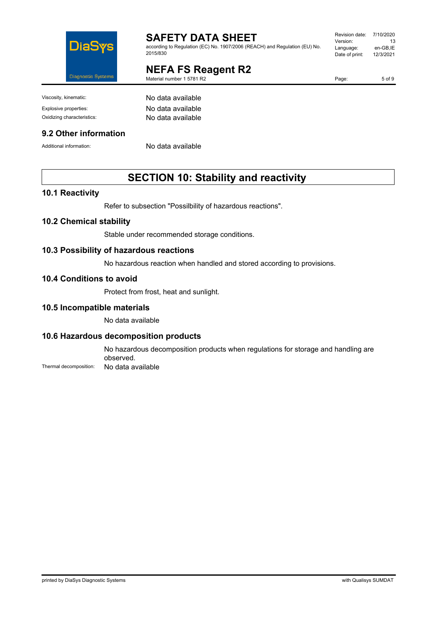

according to Regulation (EC) No. 1907/2006 (REACH) and Regulation (EU) No. 2015/830

### **NEFA FS Reagent R2**

Material number 1 5781 R2

Revision date: 7/10/2020 Version: 13 Language: en-GB,IE<br>Date of print: 12/3/2021 Date of print:

Viscosity, kinematic: No data available

#### **9.2 Other information**

Explosive properties: No data available Oxidizing characteristics: No data available

Additional information: No data available

### **SECTION 10: Stability and reactivity**

#### **10.1 Reactivity**

Refer to subsection "Possilbility of hazardous reactions".

#### **10.2 Chemical stability**

Stable under recommended storage conditions.

#### **10.3 Possibility of hazardous reactions**

No hazardous reaction when handled and stored according to provisions.

#### **10.4 Conditions to avoid**

Protect from frost, heat and sunlight.

#### **10.5 Incompatible materials**

No data available

#### **10.6 Hazardous decomposition products**

No hazardous decomposition products when regulations for storage and handling are observed.

Thermal decomposition: No data available

Page: 5 of 9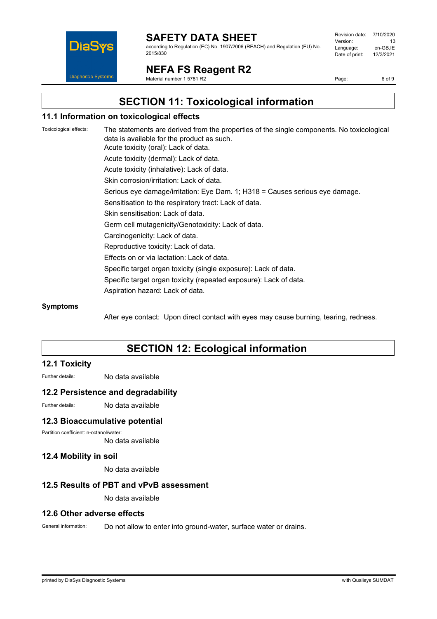

according to Regulation (EC) No. 1907/2006 (REACH) and Regulation (EU) No. 2015/830

| Revision date: | 7/10/2020 |
|----------------|-----------|
| Version:       | 13        |
| Language:      | en-GB,IE  |
| Date of print: | 12/3/2021 |
|                |           |

### **NEFA FS Reagent R2**

Material number 1 5781 R2

Page: 6 of 9

**SECTION 11: Toxicological information**

#### **11.1 Information on toxicological effects**

Toxicological effects: The statements are derived from the properties of the single components. No toxicological data is available for the product as such. Acute toxicity (oral): Lack of data. Acute toxicity (dermal): Lack of data. Acute toxicity (inhalative): Lack of data. Skin corrosion/irritation: Lack of data. Serious eye damage/irritation: Eye Dam. 1; H318 = Causes serious eye damage. Sensitisation to the respiratory tract: Lack of data. Skin sensitisation: Lack of data. Germ cell mutagenicity/Genotoxicity: Lack of data. Carcinogenicity: Lack of data. Reproductive toxicity: Lack of data. Effects on or via lactation: Lack of data. Specific target organ toxicity (single exposure): Lack of data. Specific target organ toxicity (repeated exposure): Lack of data. Aspiration hazard: Lack of data.

#### **Symptoms**

After eye contact: Upon direct contact with eyes may cause burning, tearing, redness.

### **SECTION 12: Ecological information**

#### **12.1 Toxicity**

Further details: No data available

#### **12.2 Persistence and degradability**

Further details: No data available

#### **12.3 Bioaccumulative potential**

Partition coefficient: n-octanol/water:

No data available

#### **12.4 Mobility in soil**

No data available

#### **12.5 Results of PBT and vPvB assessment**

No data available

#### **12.6 Other adverse effects**

General information: Do not allow to enter into ground-water, surface water or drains.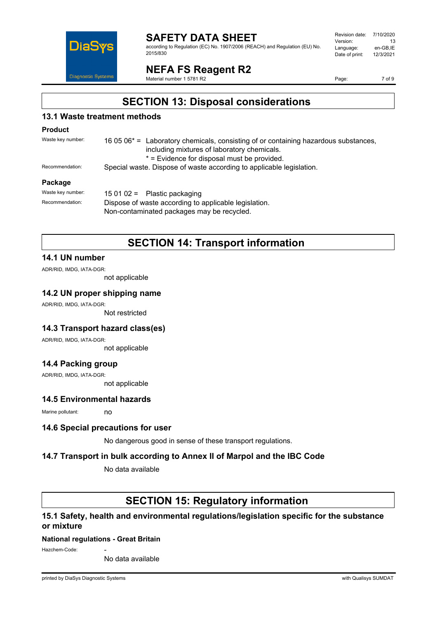

according to Regulation (EC) No. 1907/2006 (REACH) and Regulation (EU) No. 2015/830

| Revision date: | 7/10/2020 |
|----------------|-----------|
| Version:       | 13        |
| Language:      | en-GB.IE  |
| Date of print: | 12/3/2021 |
|                |           |

### **NEFA FS Reagent R2**

Material number 1 5781 R2

Page: 7 of 9

### **SECTION 13: Disposal considerations**

#### **13.1 Waste treatment methods**

#### **Product**

| Waste key number: | 16 05 $06^*$ = Laboratory chemicals, consisting of or containing hazardous substances, |
|-------------------|----------------------------------------------------------------------------------------|
|                   | including mixtures of laboratory chemicals.                                            |
|                   | * = Evidence for disposal must be provided.                                            |
| Recommendation:   | Special waste. Dispose of waste according to applicable legislation.                   |
|                   |                                                                                        |

#### **Package**

| Waste kev number: | 15 01 02 = Plastic packaging                          |
|-------------------|-------------------------------------------------------|
| Recommendation:   | Dispose of waste according to applicable legislation. |
|                   | Non-contaminated packages may be recycled.            |

### **SECTION 14: Transport information**

#### **14.1 UN number**

ADR/RID, IMDG, IATA-DGR:

not applicable

#### **14.2 UN proper shipping name**

ADR/RID, IMDG, IATA-DGR:

Not restricted

#### **14.3 Transport hazard class(es)**

ADR/RID, IMDG, IATA-DGR:

not applicable

#### **14.4 Packing group**

ADR/RID, IMDG, IATA-DGR:

not applicable

### **14.5 Environmental hazards**

Marine pollutant: no

#### **14.6 Special precautions for user**

No dangerous good in sense of these transport regulations.

#### **14.7 Transport in bulk according to Annex II of Marpol and the IBC Code**

No data available

### **SECTION 15: Regulatory information**

#### **15.1 Safety, health and environmental regulations/legislation specific for the substance or mixture**

#### **National regulations - Great Britain**

Hazchem-Code:

No data available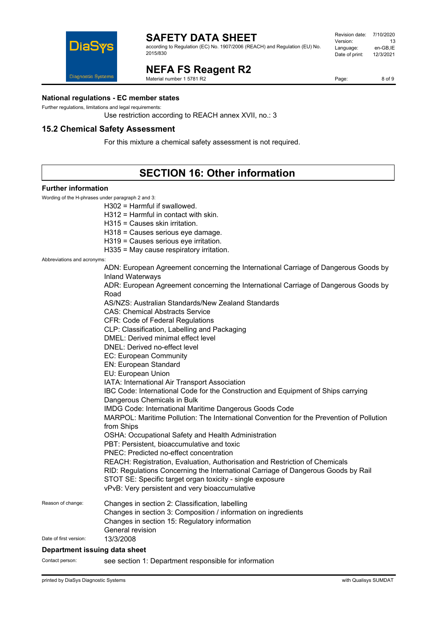

according to Regulation (EC) No. 1907/2006 (REACH) and Regulation (EU) No. 2015/830

#### Revision date: 7/10/2020 Version: 13<br>Language: en-GB,IE Language: en-GB,IE<br>Date of print: 12/3/2021 Date of print:

**NEFA FS Reagent R2** Material number 1 5781 R2

Page: 8 of 9

#### **National regulations - EC member states**

Further regulations, limitations and legal requirements:

Use restriction according to REACH annex XVII, no.: 3

#### **15.2 Chemical Safety Assessment**

For this mixture a chemical safety assessment is not required.

### **SECTION 16: Other information**

#### **Further information**

Wording of the H-phrases under paragraph 2 and 3:

H302 = Harmful if swallowed.

H312 = Harmful in contact with skin.

H315 = Causes skin irritation.

H318 = Causes serious eye damage.

H319 = Causes serious eye irritation.

H335 = May cause respiratory irritation.

Abbreviations and acronyms:

|                        | ADN: European Agreement concerning the International Carriage of Dangerous Goods by<br><b>Inland Waterways</b> |
|------------------------|----------------------------------------------------------------------------------------------------------------|
|                        | ADR: European Agreement concerning the International Carriage of Dangerous Goods by<br>Road                    |
|                        | AS/NZS: Australian Standards/New Zealand Standards                                                             |
|                        | <b>CAS: Chemical Abstracts Service</b>                                                                         |
|                        | <b>CFR: Code of Federal Regulations</b>                                                                        |
|                        | CLP: Classification, Labelling and Packaging                                                                   |
|                        | DMEL: Derived minimal effect level                                                                             |
|                        | DNEL: Derived no-effect level                                                                                  |
|                        | <b>EC: European Community</b>                                                                                  |
|                        | EN: European Standard                                                                                          |
|                        | EU: European Union                                                                                             |
|                        | IATA: International Air Transport Association                                                                  |
|                        | IBC Code: International Code for the Construction and Equipment of Ships carrying                              |
|                        | Dangerous Chemicals in Bulk                                                                                    |
|                        | IMDG Code: International Maritime Dangerous Goods Code                                                         |
|                        | MARPOL: Maritime Pollution: The International Convention for the Prevention of Pollution<br>from Ships         |
|                        | OSHA: Occupational Safety and Health Administration                                                            |
|                        | PBT: Persistent, bioaccumulative and toxic                                                                     |
|                        | PNEC: Predicted no-effect concentration                                                                        |
|                        | REACH: Registration, Evaluation, Authorisation and Restriction of Chemicals                                    |
|                        | RID: Regulations Concerning the International Carriage of Dangerous Goods by Rail                              |
|                        | STOT SE: Specific target organ toxicity - single exposure                                                      |
|                        | vPvB: Very persistent and very bioaccumulative                                                                 |
| Reason of change:      | Changes in section 2: Classification, labelling                                                                |
|                        | Changes in section 3: Composition / information on ingredients                                                 |
|                        | Changes in section 15: Regulatory information                                                                  |
|                        | General revision                                                                                               |
| Date of first version: | 13/3/2008                                                                                                      |
|                        |                                                                                                                |

#### **Department issuing data sheet**

Contact person: see section 1: Department responsible for information